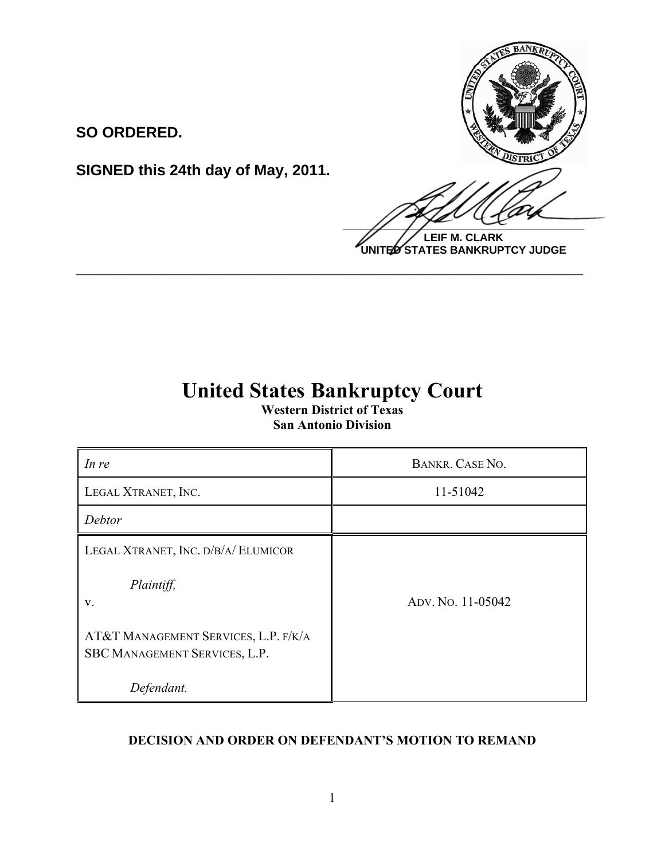

**LEIF M. CLARK UNITED STATES BANKRUPTCY JUDGE**

# **SIGNED this 24th day of May, 2011.**

**SO ORDERED.**

# **United States Bankruptcy Court**

**\_\_\_\_\_\_\_\_\_\_\_\_\_\_\_\_\_\_\_\_\_\_\_\_\_\_\_\_\_\_\_\_\_\_\_\_\_\_\_\_\_\_\_\_\_\_\_\_\_\_\_\_\_\_\_\_\_\_\_\_**

**Western District of Texas San Antonio Division**

| In re                                                                 | BANKR. CASE NO.   |
|-----------------------------------------------------------------------|-------------------|
| LEGAL XTRANET, INC.                                                   | 11-51042          |
| Debtor                                                                |                   |
| LEGAL XTRANET, INC. D/B/A/ ELUMICOR                                   |                   |
| Plaintiff,<br>V.                                                      | ADV. No. 11-05042 |
| AT&T MANAGEMENT SERVICES, L.P. F/K/A<br>SBC MANAGEMENT SERVICES, L.P. |                   |
| Defendant.                                                            |                   |

## **DECISION AND ORDER ON DEFENDANT'S MOTION TO REMAND**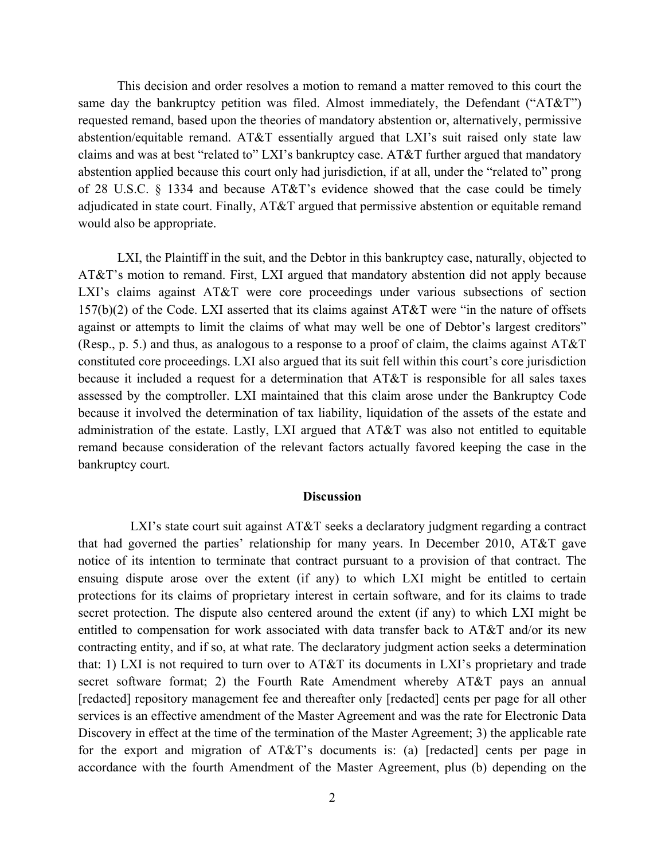This decision and order resolves a motion to remand a matter removed to this court the same day the bankruptcy petition was filed. Almost immediately, the Defendant ("AT&T") requested remand, based upon the theories of mandatory abstention or, alternatively, permissive abstention/equitable remand. AT&T essentially argued that LXI's suit raised only state law claims and was at best "related to" LXI's bankruptcy case. AT&T further argued that mandatory abstention applied because this court only had jurisdiction, if at all, under the "related to" prong of 28 U.S.C. § 1334 and because AT&T's evidence showed that the case could be timely adjudicated in state court. Finally, AT&T argued that permissive abstention or equitable remand would also be appropriate.

LXI, the Plaintiff in the suit, and the Debtor in this bankruptcy case, naturally, objected to AT&T's motion to remand. First, LXI argued that mandatory abstention did not apply because LXI's claims against AT&T were core proceedings under various subsections of section 157(b)(2) of the Code. LXI asserted that its claims against AT&T were "in the nature of offsets against or attempts to limit the claims of what may well be one of Debtor's largest creditors" (Resp., p. 5.) and thus, as analogous to a response to a proof of claim, the claims against  $AT&T$ constituted core proceedings. LXI also argued that its suit fell within this court's core jurisdiction because it included a request for a determination that AT&T is responsible for all sales taxes assessed by the comptroller. LXI maintained that this claim arose under the Bankruptcy Code because it involved the determination of tax liability, liquidation of the assets of the estate and administration of the estate. Lastly, LXI argued that AT&T was also not entitled to equitable remand because consideration of the relevant factors actually favored keeping the case in the bankruptcy court.

#### **Discussion**

LXI's state court suit against AT&T seeks a declaratory judgment regarding a contract that had governed the parties' relationship for many years. In December 2010, AT&T gave notice of its intention to terminate that contract pursuant to a provision of that contract. The ensuing dispute arose over the extent (if any) to which LXI might be entitled to certain protections for its claims of proprietary interest in certain software, and for its claims to trade secret protection. The dispute also centered around the extent (if any) to which LXI might be entitled to compensation for work associated with data transfer back to AT&T and/or its new contracting entity, and if so, at what rate. The declaratory judgment action seeks a determination that: 1) LXI is not required to turn over to AT&T its documents in LXI's proprietary and trade secret software format; 2) the Fourth Rate Amendment whereby AT&T pays an annual [redacted] repository management fee and thereafter only [redacted] cents per page for all other services is an effective amendment of the Master Agreement and was the rate for Electronic Data Discovery in effect at the time of the termination of the Master Agreement; 3) the applicable rate for the export and migration of AT&T's documents is: (a) [redacted] cents per page in accordance with the fourth Amendment of the Master Agreement, plus (b) depending on the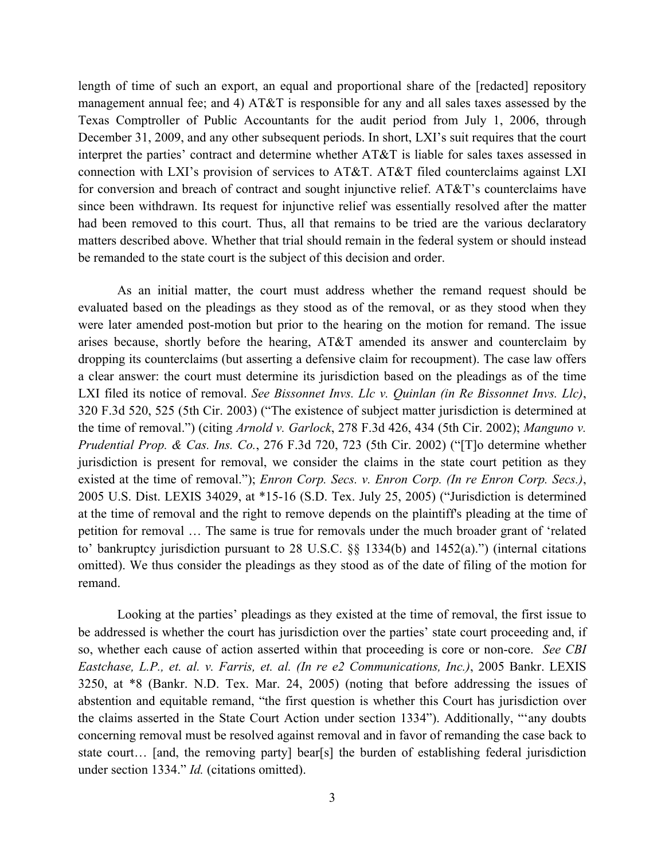length of time of such an export, an equal and proportional share of the [redacted] repository management annual fee; and 4) AT&T is responsible for any and all sales taxes assessed by the Texas Comptroller of Public Accountants for the audit period from July 1, 2006, through December 31, 2009, and any other subsequent periods. In short, LXI's suit requires that the court interpret the parties' contract and determine whether AT&T is liable for sales taxes assessed in connection with LXI's provision of services to AT&T. AT&T filed counterclaims against LXI for conversion and breach of contract and sought injunctive relief. AT&T's counterclaims have since been withdrawn. Its request for injunctive relief was essentially resolved after the matter had been removed to this court. Thus, all that remains to be tried are the various declaratory matters described above. Whether that trial should remain in the federal system or should instead be remanded to the state court is the subject of this decision and order.

As an initial matter, the court must address whether the remand request should be evaluated based on the pleadings as they stood as of the removal, or as they stood when they were later amended post-motion but prior to the hearing on the motion for remand. The issue arises because, shortly before the hearing, AT&T amended its answer and counterclaim by dropping its counterclaims (but asserting a defensive claim for recoupment). The case law offers a clear answer: the court must determine its jurisdiction based on the pleadings as of the time LXI filed its notice of removal. *See Bissonnet Invs. Llc v. Quinlan (in Re Bissonnet Invs. Llc)*, 320 F.3d 520, 525 (5th Cir. 2003) ("The existence of subject matter jurisdiction is determined at the time of removal.") (citing *Arnold v. Garlock*, 278 F.3d 426, 434 (5th Cir. 2002); *Manguno v. Prudential Prop. & Cas. Ins. Co.*, 276 F.3d 720, 723 (5th Cir. 2002) ("[T]o determine whether jurisdiction is present for removal, we consider the claims in the state court petition as they existed at the time of removal."); *Enron Corp. Secs. v. Enron Corp. (In re Enron Corp. Secs.)*, 2005 U.S. Dist. LEXIS 34029, at \*15-16 (S.D. Tex. July 25, 2005) ("Jurisdiction is determined at the time of removal and the right to remove depends on the plaintiff's pleading at the time of petition for removal … The same is true for removals under the much broader grant of 'related to' bankruptcy jurisdiction pursuant to 28 U.S.C. §§ 1334(b) and 1452(a).") (internal citations omitted). We thus consider the pleadings as they stood as of the date of filing of the motion for remand.

Looking at the parties' pleadings as they existed at the time of removal, the first issue to be addressed is whether the court has jurisdiction over the parties' state court proceeding and, if so, whether each cause of action asserted within that proceeding is core or non-core. *See CBI Eastchase, L.P., et. al. v. Farris, et. al. (In re e2 Communications, Inc.)*, 2005 Bankr. LEXIS 3250, at \*8 (Bankr. N.D. Tex. Mar. 24, 2005) (noting that before addressing the issues of abstention and equitable remand, "the first question is whether this Court has jurisdiction over the claims asserted in the State Court Action under section 1334"). Additionally, "'any doubts concerning removal must be resolved against removal and in favor of remanding the case back to state court… [and, the removing party] bear[s] the burden of establishing federal jurisdiction under section 1334." *Id.* (citations omitted).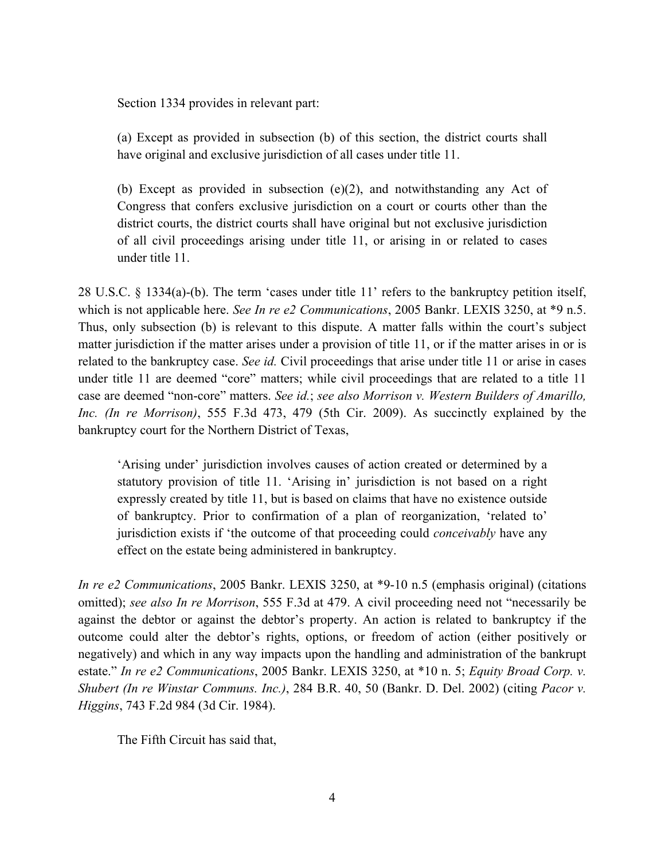Section 1334 provides in relevant part:

(a) Except as provided in subsection (b) of this section, the district courts shall have original and exclusive jurisdiction of all cases under title 11.

(b) Except as provided in subsection (e)(2), and notwithstanding any Act of Congress that confers exclusive jurisdiction on a court or courts other than the district courts, the district courts shall have original but not exclusive jurisdiction of all civil proceedings arising under title 11, or arising in or related to cases under title 11.

28 U.S.C. § 1334(a)-(b). The term 'cases under title 11' refers to the bankruptcy petition itself, which is not applicable here. *See In re e2 Communications*, 2005 Bankr. LEXIS 3250, at \*9 n.5. Thus, only subsection (b) is relevant to this dispute. A matter falls within the court's subject matter jurisdiction if the matter arises under a provision of title 11, or if the matter arises in or is related to the bankruptcy case. *See id.* Civil proceedings that arise under title 11 or arise in cases under title 11 are deemed "core" matters; while civil proceedings that are related to a title 11 case are deemed "non-core" matters. *See id.*; *see also Morrison v. Western Builders of Amarillo, Inc. (In re Morrison)*, 555 F.3d 473, 479 (5th Cir. 2009). As succinctly explained by the bankruptcy court for the Northern District of Texas,

'Arising under' jurisdiction involves causes of action created or determined by a statutory provision of title 11. 'Arising in' jurisdiction is not based on a right expressly created by title 11, but is based on claims that have no existence outside of bankruptcy. Prior to confirmation of a plan of reorganization, 'related to' jurisdiction exists if 'the outcome of that proceeding could *conceivably* have any effect on the estate being administered in bankruptcy.

*In re e2 Communications*, 2005 Bankr. LEXIS 3250, at \*9-10 n.5 (emphasis original) (citations omitted); *see also In re Morrison*, 555 F.3d at 479. A civil proceeding need not "necessarily be against the debtor or against the debtor's property. An action is related to bankruptcy if the outcome could alter the debtor's rights, options, or freedom of action (either positively or negatively) and which in any way impacts upon the handling and administration of the bankrupt estate." *In re e2 Communications*, 2005 Bankr. LEXIS 3250, at \*10 n. 5; *Equity Broad Corp. v. Shubert (In re Winstar Communs. Inc.)*, 284 B.R. 40, 50 (Bankr. D. Del. 2002) (citing *Pacor v. Higgins*, 743 F.2d 984 (3d Cir. 1984).

The Fifth Circuit has said that,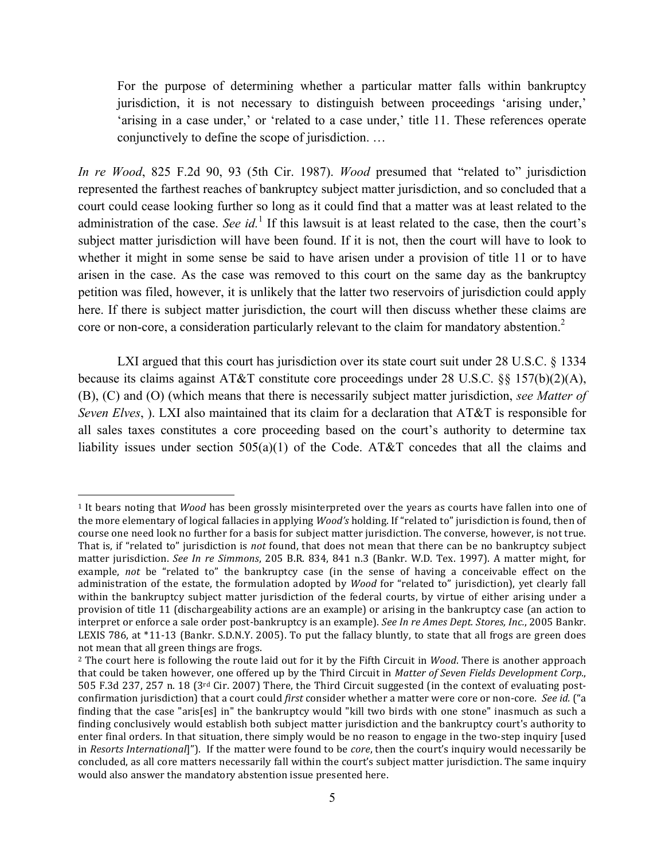For the purpose of determining whether a particular matter falls within bankruptcy jurisdiction, it is not necessary to distinguish between proceedings 'arising under,' 'arising in a case under,' or 'related to a case under,' title 11. These references operate conjunctively to define the scope of jurisdiction. …

*In re Wood*, 825 F.2d 90, 93 (5th Cir. 1987). *Wood* presumed that "related to" jurisdiction represented the farthest reaches of bankruptcy subject matter jurisdiction, and so concluded that a court could cease looking further so long as it could find that a matter was at least related to the administration of the case. *See id*.<sup>1</sup> If this lawsuit is at least related to the case, then the court's subject matter jurisdiction will have been found. If it is not, then the court will have to look to whether it might in some sense be said to have arisen under a provision of title 11 or to have arisen in the case. As the case was removed to this court on the same day as the bankruptcy petition was filed, however, it is unlikely that the latter two reservoirs of jurisdiction could apply here. If there is subject matter jurisdiction, the court will then discuss whether these claims are core or non-core, a consideration particularly relevant to the claim for mandatory abstention.<sup>2</sup>

LXI argued that this court has jurisdiction over its state court suit under 28 U.S.C. § 1334 because its claims against AT&T constitute core proceedings under 28 U.S.C. §§ 157(b)(2)(A), (B), (C) and (O) (which means that there is necessarily subject matter jurisdiction, *see Matter of Seven Elves*, ). LXI also maintained that its claim for a declaration that AT&T is responsible for all sales taxes constitutes a core proceeding based on the court's authority to determine tax liability issues under section 505(a)(1) of the Code. AT&T concedes that all the claims and

<sup>&</sup>lt;sup>1</sup> It bears noting that *Wood* has been grossly misinterpreted over the years as courts have fallen into one of the more elementary of logical fallacies in applying *Wood's* holding. If "related to" jurisdiction is found, then of course one need look no further for a basis for subject matter jurisdiction. The converse, however, is not true. That is, if "related to" jurisdiction is *not* found, that does not mean that there can be no bankruptcy subject matter jurisdiction. See In re Simmons, 205 B.R. 834, 841 n.3 (Bankr. W.D. Tex. 1997). A matter might, for example, not be "related to" the bankruptcy case (in the sense of having a conceivable effect on the administration of the estate, the formulation adopted by *Wood* for "related to" jurisdiction), yet clearly fall within the bankruptcy subject matter jurisdiction of the federal courts, by virtue of either arising under a provision of title 11 (dischargeability actions are an example) or arising in the bankruptcy case (an action to interpret or enforce a sale order post-bankruptcy is an example). *See In re Ames Dept. Stores, Inc.*, 2005 Bankr. LEXIS 786, at \*11-13 (Bankr. S.D.N.Y. 2005). To put the fallacy bluntly, to state that all frogs are green does not mean that all green things are frogs.

<sup>&</sup>lt;sup>2</sup> The court here is following the route laid out for it by the Fifth Circuit in *Wood*. There is another approach that could be taken however, one offered up by the Third Circuit in *Matter of Seven Fields Development Corp.*, 505 F.3d 237, 257 n. 18 (3<sup>rd</sup> Cir. 2007) There, the Third Circuit suggested (in the context of evaluating postconfirmation jurisdiction) that a court could *first* consider whether a matter were core or non-core. See id. ("a finding that the case "aris[es] in" the bankruptcy would "kill two birds with one stone" inasmuch as such a finding conclusively would establish both subject matter jurisdiction and the bankruptcy court's authority to enter final orders. In that situation, there simply would be no reason to engage in the two-step inquiry [used in *Resorts International*]"). If the matter were found to be *core*, then the court's inquiry would necessarily be concluded, as all core matters necessarily fall within the court's subject matter jurisdiction. The same inquiry would also answer the mandatory abstention issue presented here.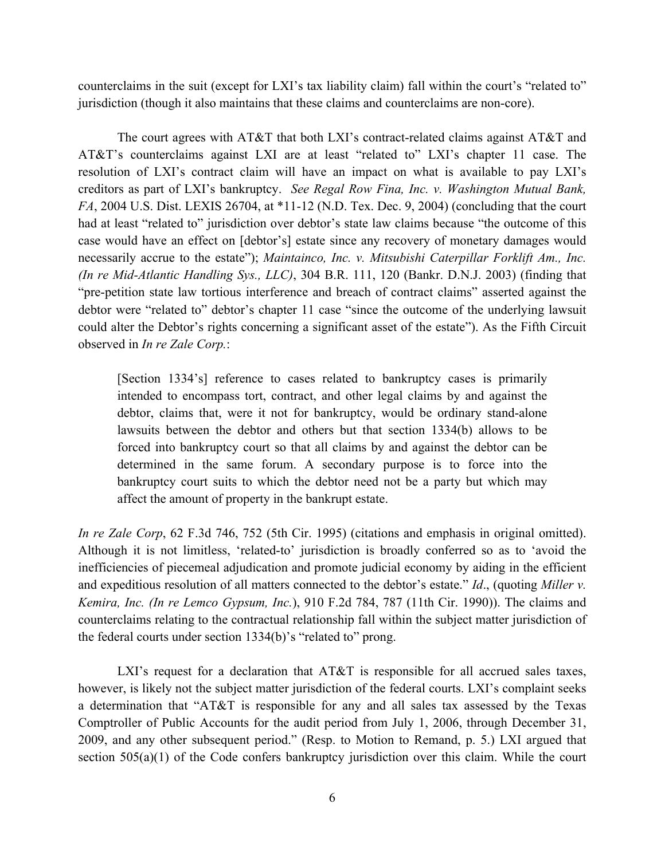counterclaims in the suit (except for LXI's tax liability claim) fall within the court's "related to" jurisdiction (though it also maintains that these claims and counterclaims are non-core).

The court agrees with AT&T that both LXI's contract-related claims against AT&T and AT&T's counterclaims against LXI are at least "related to" LXI's chapter 11 case. The resolution of LXI's contract claim will have an impact on what is available to pay LXI's creditors as part of LXI's bankruptcy. *See Regal Row Fina, Inc. v. Washington Mutual Bank, FA*, 2004 U.S. Dist. LEXIS 26704, at \*11-12 (N.D. Tex. Dec. 9, 2004) (concluding that the court had at least "related to" jurisdiction over debtor's state law claims because "the outcome of this case would have an effect on [debtor's] estate since any recovery of monetary damages would necessarily accrue to the estate"); *Maintainco, Inc. v. Mitsubishi Caterpillar Forklift Am., Inc. (In re Mid-Atlantic Handling Sys., LLC)*, 304 B.R. 111, 120 (Bankr. D.N.J. 2003) (finding that "pre-petition state law tortious interference and breach of contract claims" asserted against the debtor were "related to" debtor's chapter 11 case "since the outcome of the underlying lawsuit could alter the Debtor's rights concerning a significant asset of the estate"). As the Fifth Circuit observed in *In re Zale Corp.*:

[Section 1334's] reference to cases related to bankruptcy cases is primarily intended to encompass tort, contract, and other legal claims by and against the debtor, claims that, were it not for bankruptcy, would be ordinary stand-alone lawsuits between the debtor and others but that section 1334(b) allows to be forced into bankruptcy court so that all claims by and against the debtor can be determined in the same forum. A secondary purpose is to force into the bankruptcy court suits to which the debtor need not be a party but which may affect the amount of property in the bankrupt estate.

*In re Zale Corp*, 62 F.3d 746, 752 (5th Cir. 1995) (citations and emphasis in original omitted). Although it is not limitless, 'related-to' jurisdiction is broadly conferred so as to 'avoid the inefficiencies of piecemeal adjudication and promote judicial economy by aiding in the efficient and expeditious resolution of all matters connected to the debtor's estate." *Id*., (quoting *Miller v. Kemira, Inc. (In re Lemco Gypsum, Inc.*), 910 F.2d 784, 787 (11th Cir. 1990)). The claims and counterclaims relating to the contractual relationship fall within the subject matter jurisdiction of the federal courts under section 1334(b)'s "related to" prong.

LXI's request for a declaration that  $AT&T$  is responsible for all accrued sales taxes, however, is likely not the subject matter jurisdiction of the federal courts. LXI's complaint seeks a determination that "AT&T is responsible for any and all sales tax assessed by the Texas Comptroller of Public Accounts for the audit period from July 1, 2006, through December 31, 2009, and any other subsequent period." (Resp. to Motion to Remand, p. 5.) LXI argued that section 505(a)(1) of the Code confers bankruptcy jurisdiction over this claim. While the court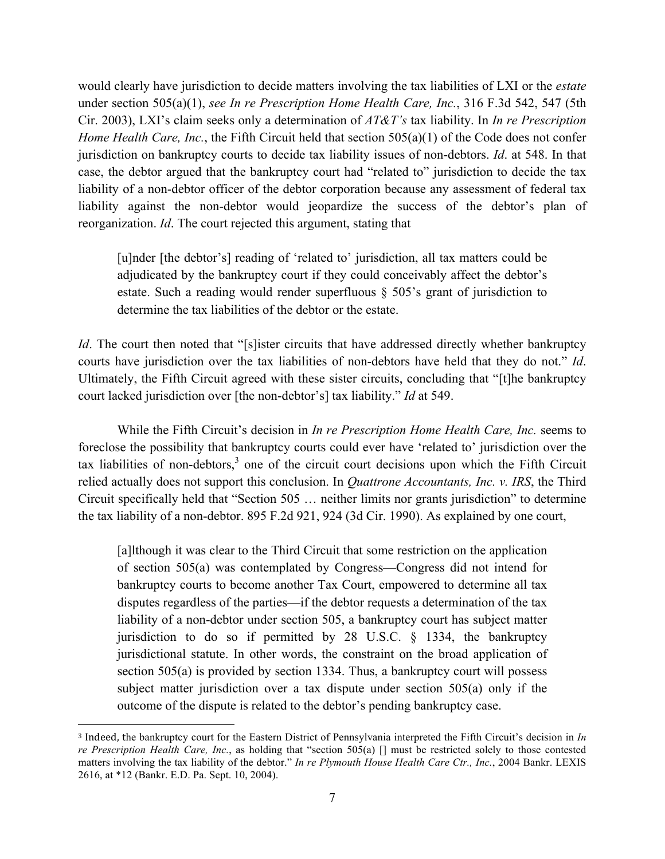would clearly have jurisdiction to decide matters involving the tax liabilities of LXI or the *estate* under section 505(a)(1), *see In re Prescription Home Health Care, Inc.*, 316 F.3d 542, 547 (5th Cir. 2003), LXI's claim seeks only a determination of *AT&T's* tax liability. In *In re Prescription Home Health Care, Inc.*, the Fifth Circuit held that section 505(a)(1) of the Code does not confer jurisdiction on bankruptcy courts to decide tax liability issues of non-debtors. *Id*. at 548. In that case, the debtor argued that the bankruptcy court had "related to" jurisdiction to decide the tax liability of a non-debtor officer of the debtor corporation because any assessment of federal tax liability against the non-debtor would jeopardize the success of the debtor's plan of reorganization. *Id*. The court rejected this argument, stating that

[u]nder [the debtor's] reading of 'related to' jurisdiction, all tax matters could be adjudicated by the bankruptcy court if they could conceivably affect the debtor's estate. Such a reading would render superfluous § 505's grant of jurisdiction to determine the tax liabilities of the debtor or the estate.

*Id*. The court then noted that "[s]ister circuits that have addressed directly whether bankruptcy courts have jurisdiction over the tax liabilities of non-debtors have held that they do not." *Id*. Ultimately, the Fifth Circuit agreed with these sister circuits, concluding that "[t]he bankruptcy court lacked jurisdiction over [the non-debtor's] tax liability." *Id* at 549.

While the Fifth Circuit's decision in *In re Prescription Home Health Care, Inc.* seems to foreclose the possibility that bankruptcy courts could ever have 'related to' jurisdiction over the tax liabilities of non-debtors, $3$  one of the circuit court decisions upon which the Fifth Circuit relied actually does not support this conclusion. In *Quattrone Accountants, Inc. v. IRS*, the Third Circuit specifically held that "Section 505 … neither limits nor grants jurisdiction" to determine the tax liability of a non-debtor. 895 F.2d 921, 924 (3d Cir. 1990). As explained by one court,

[a]lthough it was clear to the Third Circuit that some restriction on the application of section 505(a) was contemplated by Congress—Congress did not intend for bankruptcy courts to become another Tax Court, empowered to determine all tax disputes regardless of the parties—if the debtor requests a determination of the tax liability of a non-debtor under section 505, a bankruptcy court has subject matter jurisdiction to do so if permitted by 28 U.S.C. § 1334, the bankruptcy jurisdictional statute. In other words, the constraint on the broad application of section 505(a) is provided by section 1334. Thus, a bankruptcy court will possess subject matter jurisdiction over a tax dispute under section 505(a) only if the outcome of the dispute is related to the debtor's pending bankruptcy case.

<sup>&</sup>lt;sup>3</sup> Indeed, the bankruptcy court for the Eastern District of Pennsylvania interpreted the Fifth Circuit's decision in *In re Prescription Health Care, Inc.*, as holding that "section 505(a) [] must be restricted solely to those contested matters involving the tax liability of the debtor." *In re Plymouth House Health Care Ctr., Inc.*, 2004 Bankr. LEXIS 2616, at \*12 (Bankr. E.D. Pa. Sept. 10, 2004).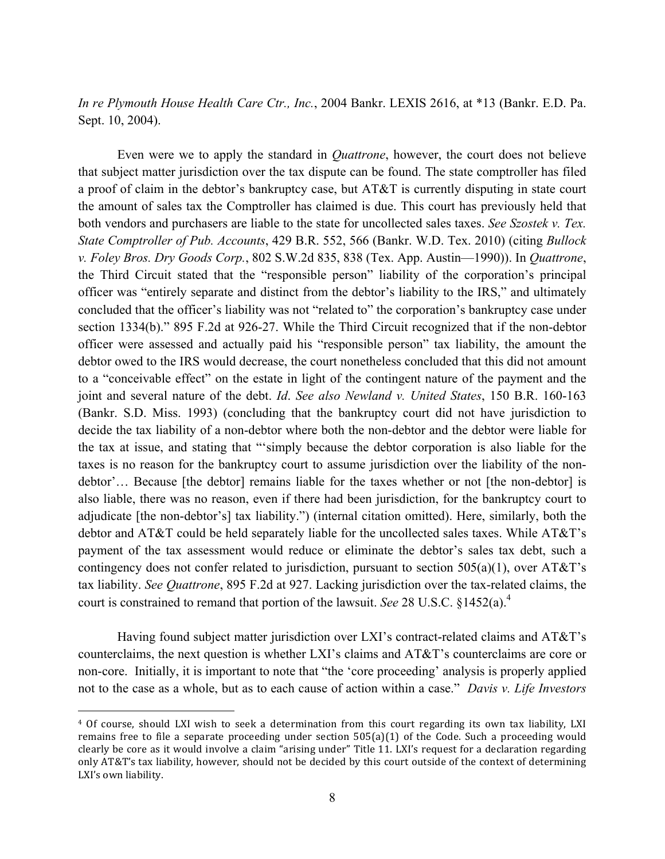*In re Plymouth House Health Care Ctr., Inc.*, 2004 Bankr. LEXIS 2616, at \*13 (Bankr. E.D. Pa. Sept. 10, 2004).

Even were we to apply the standard in *Quattrone*, however, the court does not believe that subject matter jurisdiction over the tax dispute can be found. The state comptroller has filed a proof of claim in the debtor's bankruptcy case, but AT&T is currently disputing in state court the amount of sales tax the Comptroller has claimed is due. This court has previously held that both vendors and purchasers are liable to the state for uncollected sales taxes. *See Szostek v. Tex. State Comptroller of Pub. Accounts*, 429 B.R. 552, 566 (Bankr. W.D. Tex. 2010) (citing *Bullock v. Foley Bros. Dry Goods Corp.*, 802 S.W.2d 835, 838 (Tex. App. Austin—1990)). In *Quattrone*, the Third Circuit stated that the "responsible person" liability of the corporation's principal officer was "entirely separate and distinct from the debtor's liability to the IRS," and ultimately concluded that the officer's liability was not "related to" the corporation's bankruptcy case under section 1334(b)." 895 F.2d at 926-27. While the Third Circuit recognized that if the non-debtor officer were assessed and actually paid his "responsible person" tax liability, the amount the debtor owed to the IRS would decrease, the court nonetheless concluded that this did not amount to a "conceivable effect" on the estate in light of the contingent nature of the payment and the joint and several nature of the debt. *Id*. *See also Newland v. United States*, 150 B.R. 160-163 (Bankr. S.D. Miss. 1993) (concluding that the bankruptcy court did not have jurisdiction to decide the tax liability of a non-debtor where both the non-debtor and the debtor were liable for the tax at issue, and stating that "'simply because the debtor corporation is also liable for the taxes is no reason for the bankruptcy court to assume jurisdiction over the liability of the nondebtor'… Because [the debtor] remains liable for the taxes whether or not [the non-debtor] is also liable, there was no reason, even if there had been jurisdiction, for the bankruptcy court to adjudicate [the non-debtor's] tax liability.") (internal citation omitted). Here, similarly, both the debtor and AT&T could be held separately liable for the uncollected sales taxes. While AT&T's payment of the tax assessment would reduce or eliminate the debtor's sales tax debt, such a contingency does not confer related to jurisdiction, pursuant to section  $505(a)(1)$ , over  $AT&T$ 's tax liability. *See Quattrone*, 895 F.2d at 927. Lacking jurisdiction over the tax-related claims, the court is constrained to remand that portion of the lawsuit. *See* 28 U.S.C. §1452(a).4

Having found subject matter jurisdiction over LXI's contract-related claims and AT&T's counterclaims, the next question is whether LXI's claims and AT&T's counterclaims are core or non-core. Initially, it is important to note that "the 'core proceeding' analysis is properly applied not to the case as a whole, but as to each cause of action within a case." *Davis v. Life Investors* 

<sup>&</sup>lt;sup>4</sup> Of course, should LXI wish to seek a determination from this court regarding its own tax liability, LXI remains free to file a separate proceeding under section  $505(a)(1)$  of the Code. Such a proceeding would clearly be core as it would involve a claim "arising under" Title 11. LXI's request for a declaration regarding only AT&T's tax liability, however, should not be decided by this court outside of the context of determining LXI's own liability.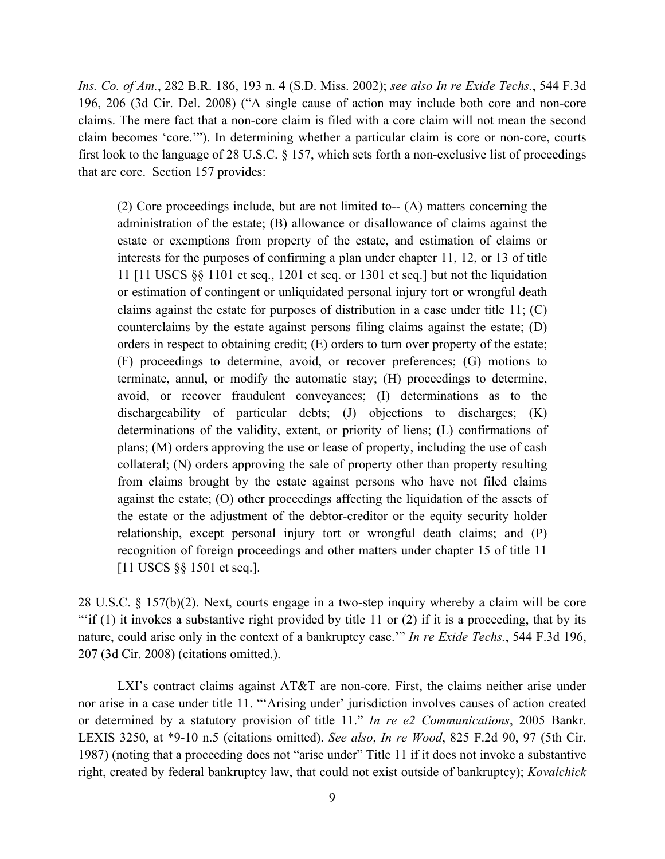*Ins. Co. of Am.*, 282 B.R. 186, 193 n. 4 (S.D. Miss. 2002); *see also In re Exide Techs.*, 544 F.3d 196, 206 (3d Cir. Del. 2008) ("A single cause of action may include both core and non-core claims. The mere fact that a non-core claim is filed with a core claim will not mean the second claim becomes 'core.'"). In determining whether a particular claim is core or non-core, courts first look to the language of 28 U.S.C. § 157, which sets forth a non-exclusive list of proceedings that are core. Section 157 provides:

(2) Core proceedings include, but are not limited to-- (A) matters concerning the administration of the estate; (B) allowance or disallowance of claims against the estate or exemptions from property of the estate, and estimation of claims or interests for the purposes of confirming a plan under chapter 11, 12, or 13 of title 11 [11 USCS §§ 1101 et seq., 1201 et seq. or 1301 et seq.] but not the liquidation or estimation of contingent or unliquidated personal injury tort or wrongful death claims against the estate for purposes of distribution in a case under title  $11$ ; (C) counterclaims by the estate against persons filing claims against the estate; (D) orders in respect to obtaining credit; (E) orders to turn over property of the estate; (F) proceedings to determine, avoid, or recover preferences; (G) motions to terminate, annul, or modify the automatic stay; (H) proceedings to determine, avoid, or recover fraudulent conveyances; (I) determinations as to the dischargeability of particular debts; (J) objections to discharges; (K) determinations of the validity, extent, or priority of liens; (L) confirmations of plans; (M) orders approving the use or lease of property, including the use of cash collateral; (N) orders approving the sale of property other than property resulting from claims brought by the estate against persons who have not filed claims against the estate; (O) other proceedings affecting the liquidation of the assets of the estate or the adjustment of the debtor-creditor or the equity security holder relationship, except personal injury tort or wrongful death claims; and (P) recognition of foreign proceedings and other matters under chapter 15 of title 11 [11 USCS §§ 1501 et seq.].

28 U.S.C. § 157(b)(2). Next, courts engage in a two-step inquiry whereby a claim will be core ""if  $(1)$  it invokes a substantive right provided by title 11 or  $(2)$  if it is a proceeding, that by its nature, could arise only in the context of a bankruptcy case.'" *In re Exide Techs.*, 544 F.3d 196, 207 (3d Cir. 2008) (citations omitted.).

LXI's contract claims against AT&T are non-core. First, the claims neither arise under nor arise in a case under title 11. "'Arising under' jurisdiction involves causes of action created or determined by a statutory provision of title 11." *In re e2 Communications*, 2005 Bankr. LEXIS 3250, at \*9-10 n.5 (citations omitted). *See also*, *In re Wood*, 825 F.2d 90, 97 (5th Cir. 1987) (noting that a proceeding does not "arise under" Title 11 if it does not invoke a substantive right, created by federal bankruptcy law, that could not exist outside of bankruptcy); *Kovalchick*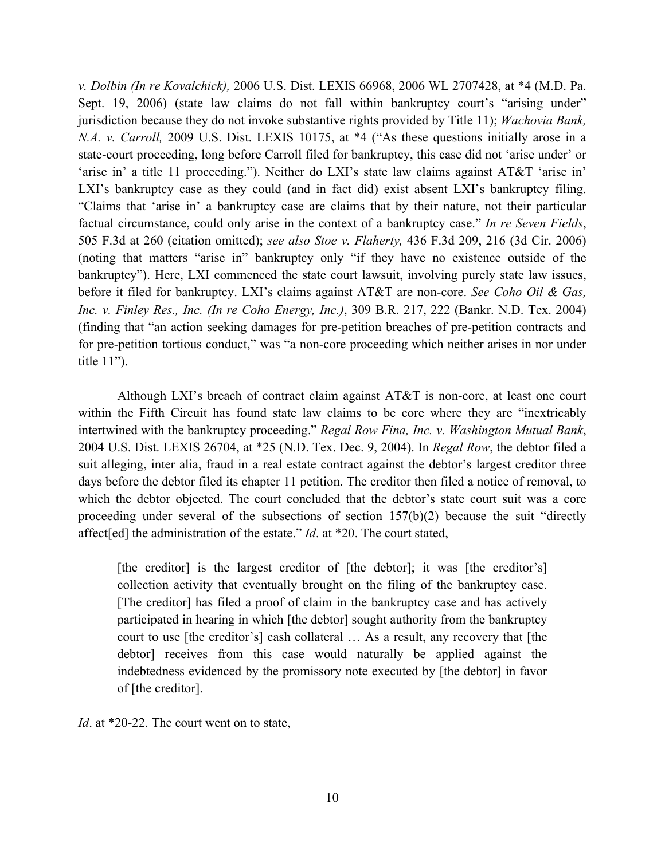*v. Dolbin (In re Kovalchick),* 2006 U.S. Dist. LEXIS 66968, 2006 WL 2707428, at \*4 (M.D. Pa. Sept. 19, 2006) (state law claims do not fall within bankruptcy court's "arising under" jurisdiction because they do not invoke substantive rights provided by Title 11); *Wachovia Bank, N.A. v. Carroll,* 2009 U.S. Dist. LEXIS 10175, at \*4 ("As these questions initially arose in a state-court proceeding, long before Carroll filed for bankruptcy, this case did not 'arise under' or 'arise in' a title 11 proceeding."). Neither do LXI's state law claims against AT&T 'arise in' LXI's bankruptcy case as they could (and in fact did) exist absent LXI's bankruptcy filing. "Claims that 'arise in' a bankruptcy case are claims that by their nature, not their particular factual circumstance, could only arise in the context of a bankruptcy case." *In re Seven Fields*, 505 F.3d at 260 (citation omitted); *see also Stoe v. Flaherty,* 436 F.3d 209, 216 (3d Cir. 2006) (noting that matters "arise in" bankruptcy only "if they have no existence outside of the bankruptcy"). Here, LXI commenced the state court lawsuit, involving purely state law issues, before it filed for bankruptcy. LXI's claims against AT&T are non-core. *See Coho Oil & Gas, Inc. v. Finley Res., Inc. (In re Coho Energy, Inc.)*, 309 B.R. 217, 222 (Bankr. N.D. Tex. 2004) (finding that "an action seeking damages for pre-petition breaches of pre-petition contracts and for pre-petition tortious conduct," was "a non-core proceeding which neither arises in nor under title 11").

Although LXI's breach of contract claim against AT&T is non-core, at least one court within the Fifth Circuit has found state law claims to be core where they are "inextricably intertwined with the bankruptcy proceeding." *Regal Row Fina, Inc. v. Washington Mutual Bank*, 2004 U.S. Dist. LEXIS 26704, at \*25 (N.D. Tex. Dec. 9, 2004). In *Regal Row*, the debtor filed a suit alleging, inter alia, fraud in a real estate contract against the debtor's largest creditor three days before the debtor filed its chapter 11 petition. The creditor then filed a notice of removal, to which the debtor objected. The court concluded that the debtor's state court suit was a core proceeding under several of the subsections of section 157(b)(2) because the suit "directly affect[ed] the administration of the estate." *Id*. at \*20. The court stated,

[the creditor] is the largest creditor of [the debtor]; it was [the creditor's] collection activity that eventually brought on the filing of the bankruptcy case. [The creditor] has filed a proof of claim in the bankruptcy case and has actively participated in hearing in which [the debtor] sought authority from the bankruptcy court to use [the creditor's] cash collateral … As a result, any recovery that [the debtor] receives from this case would naturally be applied against the indebtedness evidenced by the promissory note executed by [the debtor] in favor of [the creditor].

*Id*. at \*20-22. The court went on to state,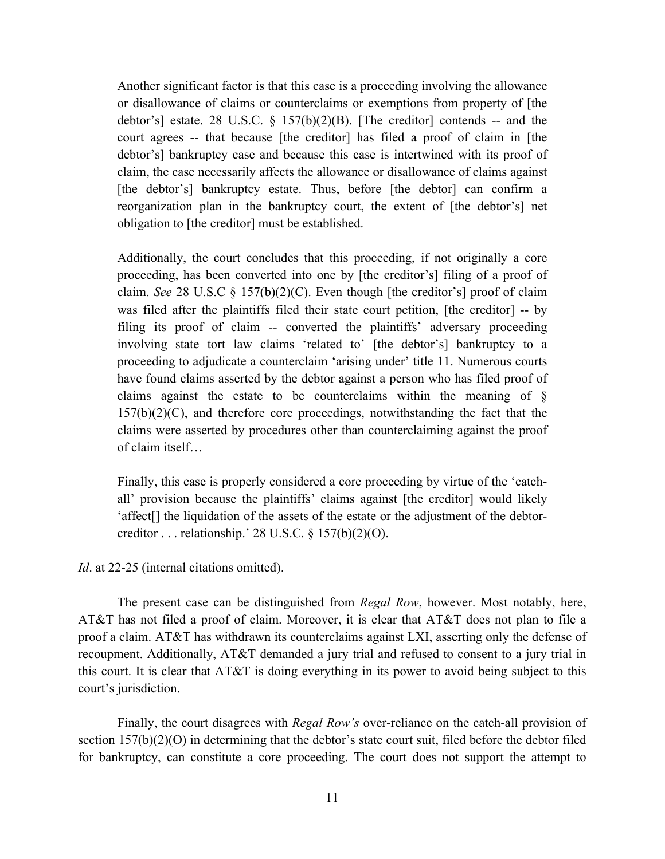Another significant factor is that this case is a proceeding involving the allowance or disallowance of claims or counterclaims or exemptions from property of [the debtor's] estate. 28 U.S.C.  $\frac{8}{3}$  157(b)(2)(B). [The creditor] contends -- and the court agrees -- that because [the creditor] has filed a proof of claim in [the debtor's] bankruptcy case and because this case is intertwined with its proof of claim, the case necessarily affects the allowance or disallowance of claims against [the debtor's] bankruptcy estate. Thus, before [the debtor] can confirm a reorganization plan in the bankruptcy court, the extent of [the debtor's] net obligation to [the creditor] must be established.

Additionally, the court concludes that this proceeding, if not originally a core proceeding, has been converted into one by [the creditor's] filing of a proof of claim. *See* 28 U.S.C § 157(b)(2)(C). Even though [the creditor's] proof of claim was filed after the plaintiffs filed their state court petition, [the creditor] -- by filing its proof of claim -- converted the plaintiffs' adversary proceeding involving state tort law claims 'related to' [the debtor's] bankruptcy to a proceeding to adjudicate a counterclaim 'arising under' title 11. Numerous courts have found claims asserted by the debtor against a person who has filed proof of claims against the estate to be counterclaims within the meaning of §  $157(b)(2)(C)$ , and therefore core proceedings, notwithstanding the fact that the claims were asserted by procedures other than counterclaiming against the proof of claim itself…

Finally, this case is properly considered a core proceeding by virtue of the 'catchall' provision because the plaintiffs' claims against [the creditor] would likely 'affect[] the liquidation of the assets of the estate or the adjustment of the debtorcreditor . . . relationship.' 28 U.S.C.  $\S 157(b)(2)(O)$ .

*Id.* at 22-25 (internal citations omitted).

The present case can be distinguished from *Regal Row*, however. Most notably, here, AT&T has not filed a proof of claim. Moreover, it is clear that AT&T does not plan to file a proof a claim. AT&T has withdrawn its counterclaims against LXI, asserting only the defense of recoupment. Additionally, AT&T demanded a jury trial and refused to consent to a jury trial in this court. It is clear that AT&T is doing everything in its power to avoid being subject to this court's jurisdiction.

Finally, the court disagrees with *Regal Row's* over-reliance on the catch-all provision of section 157(b)(2)(O) in determining that the debtor's state court suit, filed before the debtor filed for bankruptcy, can constitute a core proceeding. The court does not support the attempt to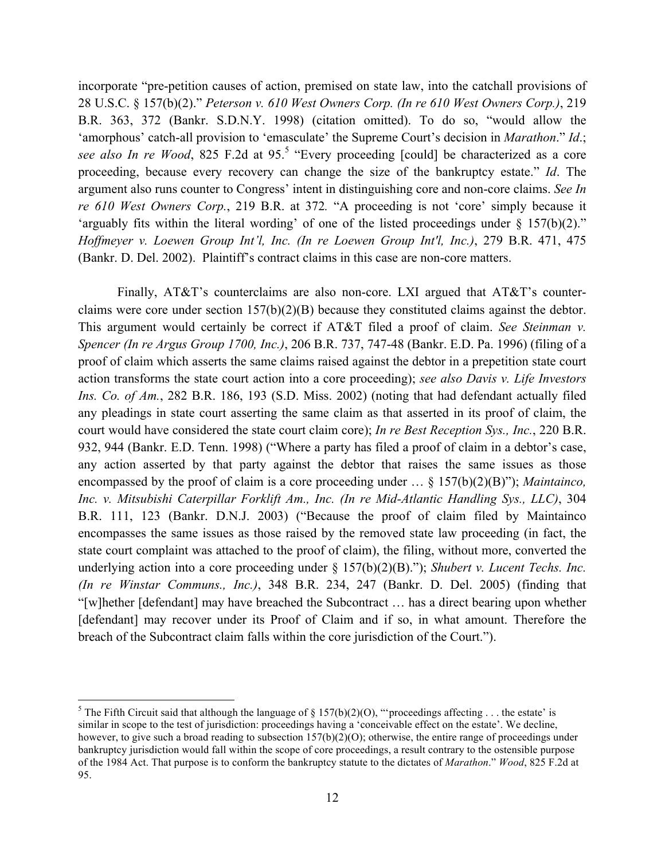incorporate "pre-petition causes of action, premised on state law, into the catchall provisions of 28 U.S.C. § 157(b)(2)." *Peterson v. 610 West Owners Corp. (In re 610 West Owners Corp.)*, 219 B.R. 363, 372 (Bankr. S.D.N.Y. 1998) (citation omitted). To do so, "would allow the 'amorphous' catch-all provision to 'emasculate' the Supreme Court's decision in *Marathon*." *Id*.; see also In re Wood, 825 F.2d at 95.<sup>5</sup> "Every proceeding [could] be characterized as a core proceeding, because every recovery can change the size of the bankruptcy estate." *Id*. The argument also runs counter to Congress' intent in distinguishing core and non-core claims. *See In re 610 West Owners Corp.*, 219 B.R. at 372*.* "A proceeding is not 'core' simply because it 'arguably fits within the literal wording' of one of the listed proceedings under  $\S$  157(b)(2)." *Hoffmeyer v. Loewen Group Int'l, Inc. (In re Loewen Group Int'l, Inc.)*, 279 B.R. 471, 475 (Bankr. D. Del. 2002). Plaintiff's contract claims in this case are non-core matters.

Finally, AT&T's counterclaims are also non-core. LXI argued that AT&T's counterclaims were core under section 157(b)(2)(B) because they constituted claims against the debtor. This argument would certainly be correct if AT&T filed a proof of claim. *See Steinman v. Spencer (In re Argus Group 1700, Inc.)*, 206 B.R. 737, 747-48 (Bankr. E.D. Pa. 1996) (filing of a proof of claim which asserts the same claims raised against the debtor in a prepetition state court action transforms the state court action into a core proceeding); *see also Davis v. Life Investors Ins. Co. of Am.*, 282 B.R. 186, 193 (S.D. Miss. 2002) (noting that had defendant actually filed any pleadings in state court asserting the same claim as that asserted in its proof of claim, the court would have considered the state court claim core); *In re Best Reception Sys., Inc.*, 220 B.R. 932, 944 (Bankr. E.D. Tenn. 1998) ("Where a party has filed a proof of claim in a debtor's case, any action asserted by that party against the debtor that raises the same issues as those encompassed by the proof of claim is a core proceeding under … § 157(b)(2)(B)"); *Maintainco, Inc. v. Mitsubishi Caterpillar Forklift Am., Inc. (In re Mid-Atlantic Handling Sys., LLC)*, 304 B.R. 111, 123 (Bankr. D.N.J. 2003) ("Because the proof of claim filed by Maintainco encompasses the same issues as those raised by the removed state law proceeding (in fact, the state court complaint was attached to the proof of claim), the filing, without more, converted the underlying action into a core proceeding under § 157(b)(2)(B)."); *Shubert v. Lucent Techs. Inc. (In re Winstar Communs., Inc.)*, 348 B.R. 234, 247 (Bankr. D. Del. 2005) (finding that "[w]hether [defendant] may have breached the Subcontract … has a direct bearing upon whether [defendant] may recover under its Proof of Claim and if so, in what amount. Therefore the breach of the Subcontract claim falls within the core jurisdiction of the Court.").

 <sup>5</sup> <sup>5</sup> The Fifth Circuit said that although the language of  $\S$  157(b)(2)(O), "'proceedings affecting . . . the estate' is similar in scope to the test of jurisdiction: proceedings having a 'conceivable effect on the estate'. We decline, however, to give such a broad reading to subsection  $157(b)(2)(0)$ ; otherwise, the entire range of proceedings under bankruptcy jurisdiction would fall within the scope of core proceedings, a result contrary to the ostensible purpose of the 1984 Act. That purpose is to conform the bankruptcy statute to the dictates of *Marathon*." *Wood*, 825 F.2d at 95.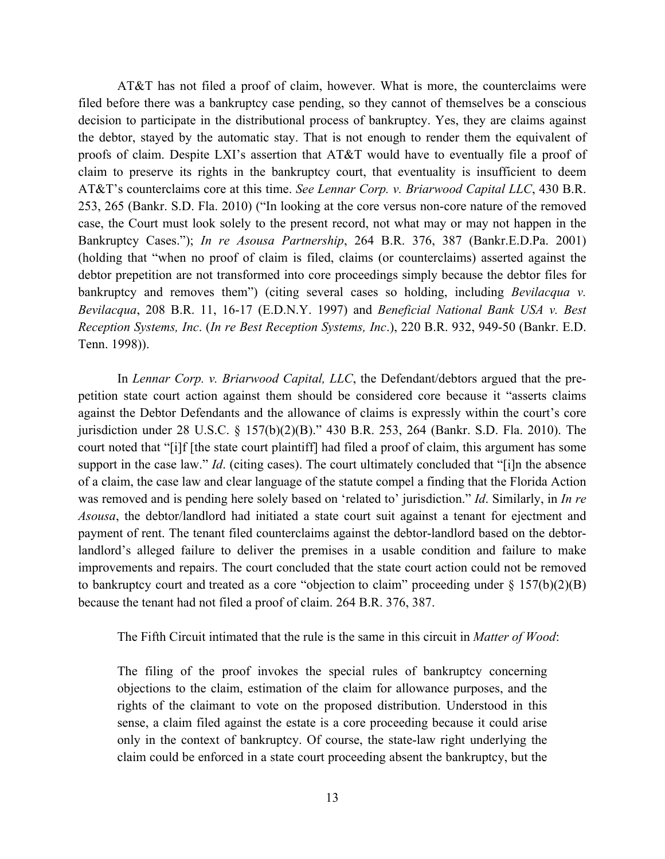AT&T has not filed a proof of claim, however. What is more, the counterclaims were filed before there was a bankruptcy case pending, so they cannot of themselves be a conscious decision to participate in the distributional process of bankruptcy. Yes, they are claims against the debtor, stayed by the automatic stay. That is not enough to render them the equivalent of proofs of claim. Despite LXI's assertion that AT&T would have to eventually file a proof of claim to preserve its rights in the bankruptcy court, that eventuality is insufficient to deem AT&T's counterclaims core at this time. *See Lennar Corp. v. Briarwood Capital LLC*, 430 B.R. 253, 265 (Bankr. S.D. Fla. 2010) ("In looking at the core versus non-core nature of the removed case, the Court must look solely to the present record, not what may or may not happen in the Bankruptcy Cases."); *In re Asousa Partnership*, 264 B.R. 376, 387 (Bankr.E.D.Pa. 2001) (holding that "when no proof of claim is filed, claims (or counterclaims) asserted against the debtor prepetition are not transformed into core proceedings simply because the debtor files for bankruptcy and removes them") (citing several cases so holding, including *Bevilacqua v. Bevilacqua*, 208 B.R. 11, 16-17 (E.D.N.Y. 1997) and *Beneficial National Bank USA v. Best Reception Systems, Inc*. (*In re Best Reception Systems, Inc*.), 220 B.R. 932, 949-50 (Bankr. E.D. Tenn. 1998)).

In *Lennar Corp. v. Briarwood Capital, LLC*, the Defendant/debtors argued that the prepetition state court action against them should be considered core because it "asserts claims against the Debtor Defendants and the allowance of claims is expressly within the court's core jurisdiction under 28 U.S.C. § 157(b)(2)(B)." 430 B.R. 253, 264 (Bankr. S.D. Fla. 2010). The court noted that "[i]f [the state court plaintiff] had filed a proof of claim, this argument has some support in the case law." *Id*. (citing cases). The court ultimately concluded that "[i]n the absence of a claim, the case law and clear language of the statute compel a finding that the Florida Action was removed and is pending here solely based on 'related to' jurisdiction." *Id*. Similarly, in *In re Asousa*, the debtor/landlord had initiated a state court suit against a tenant for ejectment and payment of rent. The tenant filed counterclaims against the debtor-landlord based on the debtorlandlord's alleged failure to deliver the premises in a usable condition and failure to make improvements and repairs. The court concluded that the state court action could not be removed to bankruptcy court and treated as a core "objection to claim" proceeding under § 157(b)(2)(B) because the tenant had not filed a proof of claim. 264 B.R. 376, 387.

The Fifth Circuit intimated that the rule is the same in this circuit in *Matter of Wood*:

The filing of the proof invokes the special rules of bankruptcy concerning objections to the claim, estimation of the claim for allowance purposes, and the rights of the claimant to vote on the proposed distribution. Understood in this sense, a claim filed against the estate is a core proceeding because it could arise only in the context of bankruptcy. Of course, the state-law right underlying the claim could be enforced in a state court proceeding absent the bankruptcy, but the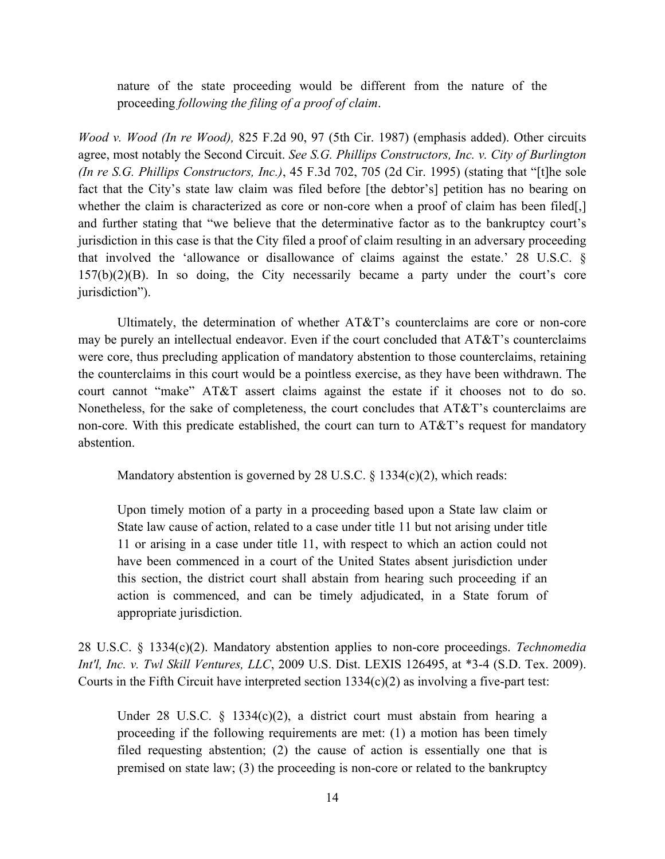nature of the state proceeding would be different from the nature of the proceeding *following the filing of a proof of claim*.

*Wood v. Wood (In re Wood),* 825 F.2d 90, 97 (5th Cir. 1987) (emphasis added). Other circuits agree, most notably the Second Circuit. *See S.G. Phillips Constructors, Inc. v. City of Burlington (In re S.G. Phillips Constructors, Inc.)*, 45 F.3d 702, 705 (2d Cir. 1995) (stating that "[t]he sole fact that the City's state law claim was filed before [the debtor's] petition has no bearing on whether the claim is characterized as core or non-core when a proof of claim has been filed. and further stating that "we believe that the determinative factor as to the bankruptcy court's jurisdiction in this case is that the City filed a proof of claim resulting in an adversary proceeding that involved the 'allowance or disallowance of claims against the estate.' 28 U.S.C. § 157(b)(2)(B). In so doing, the City necessarily became a party under the court's core jurisdiction").

Ultimately, the determination of whether AT&T's counterclaims are core or non-core may be purely an intellectual endeavor. Even if the court concluded that AT&T's counterclaims were core, thus precluding application of mandatory abstention to those counterclaims, retaining the counterclaims in this court would be a pointless exercise, as they have been withdrawn. The court cannot "make" AT&T assert claims against the estate if it chooses not to do so. Nonetheless, for the sake of completeness, the court concludes that AT&T's counterclaims are non-core. With this predicate established, the court can turn to AT&T's request for mandatory abstention.

Mandatory abstention is governed by 28 U.S.C. § 1334(c)(2), which reads:

Upon timely motion of a party in a proceeding based upon a State law claim or State law cause of action, related to a case under title 11 but not arising under title 11 or arising in a case under title 11, with respect to which an action could not have been commenced in a court of the United States absent jurisdiction under this section, the district court shall abstain from hearing such proceeding if an action is commenced, and can be timely adjudicated, in a State forum of appropriate jurisdiction.

28 U.S.C. § 1334(c)(2). Mandatory abstention applies to non-core proceedings. *Technomedia Int'l, Inc. v. Twl Skill Ventures, LLC*, 2009 U.S. Dist. LEXIS 126495, at \*3-4 (S.D. Tex. 2009). Courts in the Fifth Circuit have interpreted section  $1334(c)(2)$  as involving a five-part test:

Under 28 U.S.C. § 1334(c)(2), a district court must abstain from hearing a proceeding if the following requirements are met: (1) a motion has been timely filed requesting abstention; (2) the cause of action is essentially one that is premised on state law; (3) the proceeding is non-core or related to the bankruptcy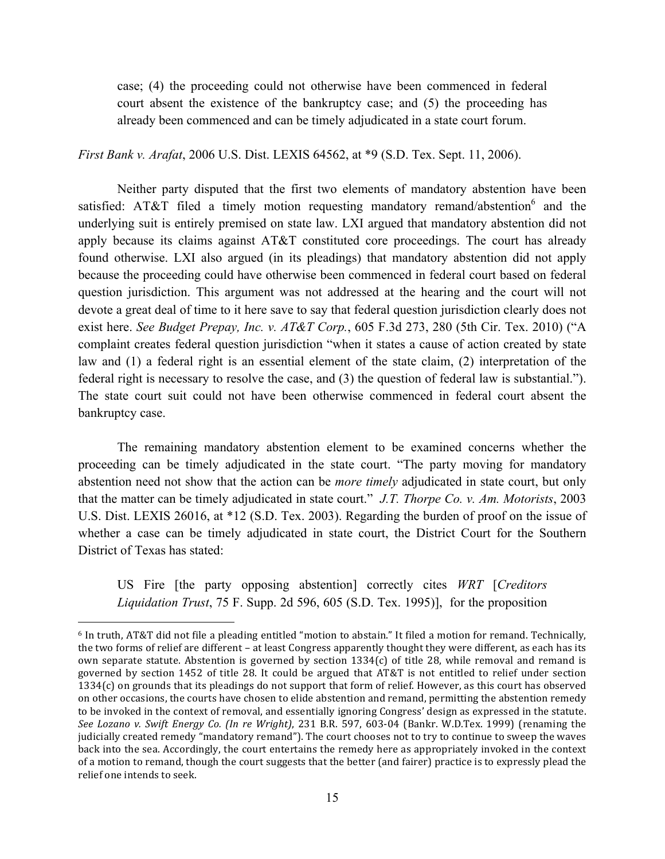case; (4) the proceeding could not otherwise have been commenced in federal court absent the existence of the bankruptcy case; and (5) the proceeding has already been commenced and can be timely adjudicated in a state court forum.

*First Bank v. Arafat*, 2006 U.S. Dist. LEXIS 64562, at \*9 (S.D. Tex. Sept. 11, 2006).

Neither party disputed that the first two elements of mandatory abstention have been satisfied: AT&T filed a timely motion requesting mandatory remand/abstention $6$  and the underlying suit is entirely premised on state law. LXI argued that mandatory abstention did not apply because its claims against AT&T constituted core proceedings. The court has already found otherwise. LXI also argued (in its pleadings) that mandatory abstention did not apply because the proceeding could have otherwise been commenced in federal court based on federal question jurisdiction. This argument was not addressed at the hearing and the court will not devote a great deal of time to it here save to say that federal question jurisdiction clearly does not exist here. *See Budget Prepay, Inc. v. AT&T Corp.*, 605 F.3d 273, 280 (5th Cir. Tex. 2010) ("A complaint creates federal question jurisdiction "when it states a cause of action created by state law and (1) a federal right is an essential element of the state claim, (2) interpretation of the federal right is necessary to resolve the case, and (3) the question of federal law is substantial."). The state court suit could not have been otherwise commenced in federal court absent the bankruptcy case.

The remaining mandatory abstention element to be examined concerns whether the proceeding can be timely adjudicated in the state court. "The party moving for mandatory abstention need not show that the action can be *more timely* adjudicated in state court, but only that the matter can be timely adjudicated in state court." *J.T. Thorpe Co. v. Am. Motorists*, 2003 U.S. Dist. LEXIS 26016, at \*12 (S.D. Tex. 2003). Regarding the burden of proof on the issue of whether a case can be timely adjudicated in state court, the District Court for the Southern District of Texas has stated:

US Fire [the party opposing abstention] correctly cites *WRT* [*Creditors Liquidation Trust*, 75 F. Supp. 2d 596, 605 (S.D. Tex. 1995)], for the proposition

 $6$  In truth, AT&T did not file a pleading entitled "motion to abstain." It filed a motion for remand. Technically, the two forms of relief are different – at least Congress apparently thought they were different, as each has its own separate statute. Abstention is governed by section  $1334(c)$  of title 28, while removal and remand is governed by section 1452 of title 28. It could be argued that AT&T is not entitled to relief under section 1334(c) on grounds that its pleadings do not support that form of relief. However, as this court has observed on other occasions, the courts have chosen to elide abstention and remand, permitting the abstention remedy to be invoked in the context of removal, and essentially ignoring Congress' design as expressed in the statute. *See Lozano v. Swift Energy Co. (In re Wright)*, 231 B.R. 597, 603-04 (Bankr. W.D.Tex. 1999) (renaming the judicially created remedy "mandatory remand"). The court chooses not to try to continue to sweep the waves back into the sea. Accordingly, the court entertains the remedy here as appropriately invoked in the context" of a motion to remand, though the court suggests that the better (and fairer) practice is to expressly plead the relief one intends to seek.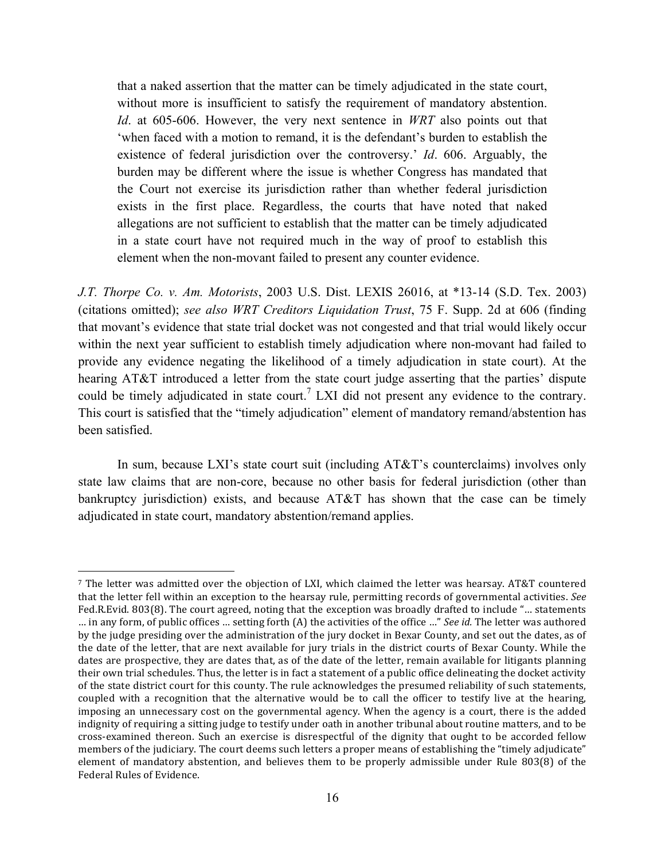that a naked assertion that the matter can be timely adjudicated in the state court, without more is insufficient to satisfy the requirement of mandatory abstention. *Id*. at 605-606. However, the very next sentence in *WRT* also points out that 'when faced with a motion to remand, it is the defendant's burden to establish the existence of federal jurisdiction over the controversy.' *Id*. 606. Arguably, the burden may be different where the issue is whether Congress has mandated that the Court not exercise its jurisdiction rather than whether federal jurisdiction exists in the first place. Regardless, the courts that have noted that naked allegations are not sufficient to establish that the matter can be timely adjudicated in a state court have not required much in the way of proof to establish this element when the non-movant failed to present any counter evidence.

*J.T. Thorpe Co. v. Am. Motorists*, 2003 U.S. Dist. LEXIS 26016, at \*13-14 (S.D. Tex. 2003) (citations omitted); *see also WRT Creditors Liquidation Trust*, 75 F. Supp. 2d at 606 (finding that movant's evidence that state trial docket was not congested and that trial would likely occur within the next year sufficient to establish timely adjudication where non-movant had failed to provide any evidence negating the likelihood of a timely adjudication in state court). At the hearing AT&T introduced a letter from the state court judge asserting that the parties' dispute could be timely adjudicated in state court.<sup>7</sup> LXI did not present any evidence to the contrary. This court is satisfied that the "timely adjudication" element of mandatory remand/abstention has been satisfied.

In sum, because LXI's state court suit (including AT&T's counterclaims) involves only state law claims that are non-core, because no other basis for federal jurisdiction (other than bankruptcy jurisdiction) exists, and because  $AT&T$  has shown that the case can be timely adjudicated in state court, mandatory abstention/remand applies.

<sup>&</sup>lt;sup>7</sup> The letter was admitted over the objection of LXI, which claimed the letter was hearsay. AT&T countered that the letter fell within an exception to the hearsay rule, permitting records of governmental activities. See Fed.R.Evid. 803(8). The court agreed, noting that the exception was broadly drafted to include "... statements … in any form, of public offices ... setting forth (A) the activities of the office ..." *See id.* The letter was authored by the judge presiding over the administration of the jury docket in Bexar County, and set out the dates, as of the date of the letter, that are next available for jury trials in the district courts of Bexar County. While the dates are prospective, they are dates that, as of the date of the letter, remain available for litigants planning their own trial schedules. Thus, the letter is in fact a statement of a public office delineating the docket activity of the state district court for this county. The rule acknowledges the presumed reliability of such statements, coupled with a recognition that the alternative would be to call the officer to testify live at the hearing, imposing an unnecessary cost on the governmental agency. When the agency is a court, there is the added indignity of requiring a sitting judge to testify under oath in another tribunal about routine matters, and to be cross-examined thereon. Such an exercise is disrespectful of the dignity that ought to be accorded fellow members of the judiciary. The court deems such letters a proper means of establishing the "timely adjudicate" element of mandatory abstention, and believes them to be properly admissible under Rule 803(8) of the Federal Rules of Evidence.